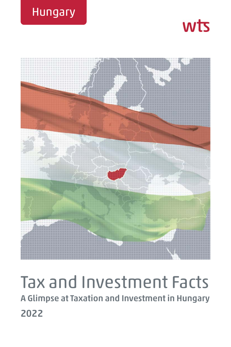





# Tax and Investment Facts **A Glimpse at Taxation and Investment in Hungary 2022**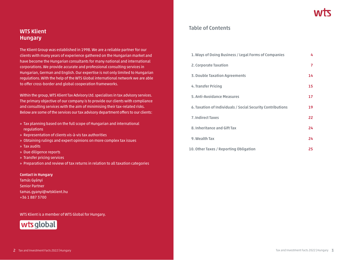# **WTS Klient Hungary**

The Klient Group was established in 1998. We are a reliable partner for our clients with many years of experience gathered on the Hungarian market and have become the Hungarian consultants for many national and international corporations. We provide accurate and professional consulting services in Hungarian, German and English. Our expertise is not only limited to Hungarian regulations. With the help of the WTS Global international network we are able to offer cross-border and global cooperation frameworks.

Within the group, WTS Klient Tax Advisory Ltd. specialises in tax advisory services. The primary objective of our company is to provide our clients with compliance and consulting services with the aim of minimising their tax-related risks. Below are some of the services our tax advisory department offers to our clients:

- » Tax planning based on the full scope of Hungarian and international regulations
- » Representation of clients vis-à-vis tax authorities
- » Obtaining rulings and expert opinions on more complex tax issues
- » Tax audits
- » Due diligence reports
- » Transfer pricing services
- » Preparation and review of tax returns in relation to all taxation categories

#### **Contact in Hungary**

Tamás Gyányi Senior Partner tamas.gyanyi@wtsklient.hu +36 1 887 3700

WTS Klient is a member of WTS Global for Hungary.



# **Table of Contents**

| 1. Ways of Doing Business / Legal Forms of Companies       | 4  |
|------------------------------------------------------------|----|
| 2. Corporate Taxation                                      | 7  |
| 3. Double Taxation Agreements                              | 14 |
| 4. Transfer Pricing                                        | 15 |
| 5. Anti-Avoidance Measures                                 | 17 |
| 6. Taxation of Individuals / Social Security Contributions | 19 |
| <b>7. Indirect Taxes</b>                                   | 22 |
| 8. Inheritance and Gift Tax                                | 24 |
| 9. Wealth Tax                                              | 24 |
| 10. Other Taxes / Reporting Obligation                     | 25 |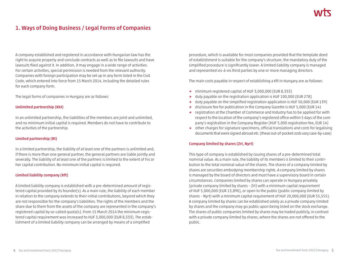# **1. Ways of Doing Business / Legal Forms of Companies**

A company established and registered in accordance with Hungarian law has the right to acquire property and conclude contracts as well as to file lawsuits and have lawsuits filed against it. In addition, it may engage in a wide range of activities. For certain activities, special permission is needed from the relevant authority. Companies with foreign participation may be set up in any form listed in the Civil Code, which entered into force from 15 March 2014, including the detailed rules for each company form.

The legal forms of companies in Hungary are as follows:

#### **Unlimited partnership (Kkt)**

In an unlimited partnership, the liabilities of the members are joint and unlimited, and no minimum initial capital is required. Members do not have to contribute to the activities of the partnership.

#### **Limited partnership (Bt)**

In a limited partnership, the liability of at least one of the partners is unlimited and, if there is more than one general partner, the general partners are liable jointly and severally. The liability of at least one of the partners is limited to the extent of his or her capital contribution. No minimum initial capital is required.

#### **Limited liability company (Kft)**

A limited liability company is established with a pre-determined amount of registered capital provided by its founder(s). As a main rule, the liability of each member in relation to the company extends to their initial contributions, beyond which they are not responsible for the company's liabilities. The rights of the members and the share due to them from the assets of the company are represented in the company's registered capital by so-called quota(s). From 15 March 2014 the minimum registered capital requirement was increased to HUF 3,000,000 (EUR 8,333). The establishment of a limited liability company can be arranged by means of a simplified

procedure, which is available for most companies provided that the template deed of establishment is suitable for the company's structure; the mandatory duty of the simplified procedure is significantly lower. A limited liability company is managed and represented vis-á-vis third parties by one or more managing directors.

The main costs payable in respect of establishing a Kft in Hungary are as follows:

- **→** minimum registered capital of HUF 3,000,000 (EUR 8,333)
- **→** duty payable on the registration application is HUF 100,000 (EUR 278)
- **→** duty payable on the simplified registration application is HUF 50,000 (EUR 139)
- **→** disclosure fee for publication in the Company Gazette is HUF 5,000 (EUR 14)
- **→** registration at the Chamber of Commerce and Industry has to be applied for with respect to the location of the company's registered office within 5 days of the company's registration in the Company Register (HUF 5,000 registration fee, EUR 14)
- **→** other charges for signature specimens, official translations and costs for legalising documents that were signed abroad etc. (these out-of-pocket costs vary case-by-case)

#### **Company limited by shares (Zrt, Nyrt)**

This type of company is established by issuing shares of a pre-determined total nominal value. As a main rule, the liability of its members is limited to their contribution to the total nominal value of the shares. The shares of a company limited by shares are securities embodying membership rights. A company limited by shares is managed by the board of directors and must have a supervisory board in certain circumstances. Companies limited by shares can operate in Hungary privately (private company limited by shares – Zrt) with a minimum capital requirement of HUF 5,000,000 (EUR 13,890), or open to the public (public company limited by shares – Nyrt) with a minimum capital requirement of HUF 20,000,000 (EUR 55,555). A company limited by shares can be established solely as a private company limited by shares and the company may go public upon being listed on the stock exchange. The shares of public companies limited by shares may be traded publicly, in contrast with a private company limited by shares, where the shares are not offered to the public.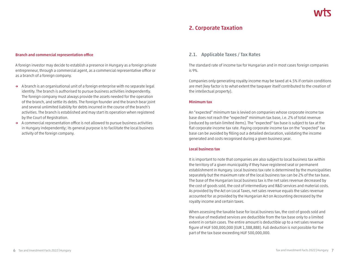# **2. Corporate Taxation**

#### **Branch and commercial representation office**

A foreign investor may decide to establish a presence in Hungary as a foreign private entrepreneur, through a commercial agent, as a commercial representative office or as a branch of a foreign company.

- **→** A branch is an organisational unit of a foreign enterprise with no separate legal identity. The branch is authorised to pursue business activities independently. The foreign company must always provide the assets needed for the operation of the branch, and settle its debts. The foreign founder and the branch bear joint and several unlimited liability for debts incurred in the course of the branch's activities. The branch is established and may start its operation when registered by the Court of Registration.
- **→** A commercial representation office is not allowed to pursue business activities in Hungary independently; its general purpose is to facilitate the local business activity of the foreign company.

# **2.1. Applicable Taxes / Tax Rates**

The standard rate of income tax for Hungarian and in most cases foreign companies is 9%.

Companies only generating royalty income may be taxed at 4.5% if certain conditions are met (key factor is to what extent the taxpayer itself contributed to the creation of the intellectual property).

#### **Minimum tax**

An "expected" minimum tax is levied on companies whose corporate income tax base does not reach the "expected" minimum tax base, i.e. 2% of total revenue (reduced by certain limited items). The "expected" tax base is subject to tax at the flat corporate income tax rate. Paying corporate income tax on the "expected" tax base can be avoided by filling out a detailed declaration, validating the income generated and costs recognised during a given business year.

#### **Local business tax**

It is important to note that companies are also subject to local business tax within the territory of a given municipality if they have registered seat or permanent establishment in Hungary. Local business tax rate is determined by the municipalities separately but the maximum rate of the local business tax can be 2% of the tax base. The base of the Hungarian local business tax is the net sales revenue decreased by the cost of goods sold, the cost of intermediary and R&D services and material costs. As provided by the Act on Local Taxes, net sales revenue equals the sales revenue accounted for as provided by the Hungarian Act on Accounting decreased by the royalty income and certain taxes.

When assessing the taxable base for local business tax, the cost of goods sold and the value of mediated services are deductible from the tax base only to a limited extent in certain cases. The entire amount is deductible up to a net sales revenue figure of HUF 500,000,000 (EUR 1,388,888). Full deduction is not possible for the part of the tax base exceeding HUF 500,000,000.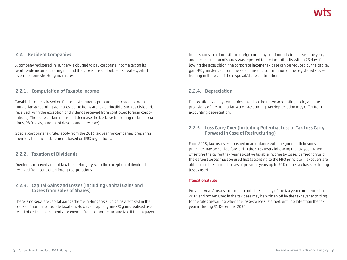# **2.2. Resident Companies**

A company registered in Hungary is obliged to pay corporate income tax on its worldwide income, bearing in mind the provisions of double tax treaties, which override domestic Hungarian rules.

# **2.2.1. Computation of Taxable Income**

Taxable income is based on financial statements prepared in accordance with Hungarian accounting standards. Some items are tax deductible, such as dividends received (with the exception of dividends received from controlled foreign corporations). There are certain items that decrease the tax base (including certain donations, R&D costs, amount of development reserve).

Special corporate tax rules apply from the 2016 tax year for companies preparing their local financial statements based on IFRS regulations.

# **2.2.2. Taxation of Dividends**

Dividends received are not taxable in Hungary, with the exception of dividends received from controlled foreign corporations.

# **2.2.3. Capital Gains and Losses (Including Capital Gains and Losses from Sales of Shares)**

There is no separate capital gains scheme in Hungary; such gains are taxed in the course of normal corporate taxation. However, capital gains/FX gains realised as a result of certain investments are exempt from corporate income tax. If the taxpayer

holds shares in a domestic or foreign company continuously for at least one year, and the acquisition of shares was reported to the tax authority within 75 days following the acquisition, the corporate income tax base can be reduced by the capital gain/FX gain derived from the sale or in-kind contribution of the registered stockholding in the year of the disposal/share contribution.

# **2.2.4. Depreciation**

Deprecation is set by companies based on their own accounting policy and the provisions of the Hungarian Act on Accounting. Tax depreciation may differ from accounting depreciation.

# **2.2.5. Loss Carry Over (Including Potential Loss of Tax Loss Carry Forward in Case of Restructuring)**

From 2015, tax losses established in accordance with the good faith business principle may be carried forward in the 5 tax years following the tax year. When offsetting the current tax year's positive taxable income by losses carried forward, the earliest losses must be used first (according to the FIFO principle). Taxpayers are able to use the accrued losses of previous years up to 50% of the tax base, excluding losses used.

#### **Transitional rule**

Previous years' losses incurred up until the last day of the tax year commenced in 2014 and not yet used in the tax base may be written off by the taxpayer according to the rules prevailing when the losses were sustained, until no later than the tax year including 31 December 2030.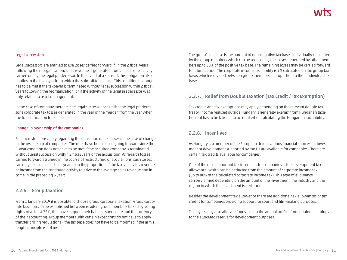#### **Legal succession**

Legal successors are entitled to use losses carried forward if, in the 2 fiscal years following the reorganisation, sales revenue is generated from at least one activity carried out by the legal predecessor. In the event of a spin-off, this obligation also applies to the taxpayer from which the spin-off took place. This condition no longer has to be met if the taxpayer is terminated without legal succession within 2 fiscal years following the reorganisation, or if the activity of the legal predecessor was only related to asset management.

In the case of company mergers, the legal successor can utilise the legal predecessor's corporate tax losses generated in the year of the merger, from the year when the transformation took place.

#### **Change in ownership of the companies**

Similar restrictions apply regarding the utilisation of tax losses in the case of changes in the ownership of companies. The rules have been eased going forward since the 2-year condition does not have to be met if the acquired company is terminated without legal succession within 2 fiscal years of the acquisition. As regards losses carried forward assumed in the course of restructuring or acquisitions, such losses can only be used in each tax year up to the proportion of the tax-year sales revenue or income from the continued activity relative to the average sales revenue and income in the preceding 3 years.

### **2.2.6. Group Taxation**

From 1 January 2019 it is possible to choose group corporate taxation. Group corporate taxation can be established between resident group members linked by voting rights of at least 75%, that have aligned their balance sheet date and the currency of their accounting. Group members with certain exceptions do not have to apply transfer pricing regulations – the tax base does not have to be modified if the arm's length principle is not met.

The group's tax base is the amount of non-negative tax bases individually calculated by the group members which can be reduced by the losses generated by other members up to 50% of the positive tax base. The remaining losses may be carried forward to future period. The corporate income tax liability is 9% calculated on the group tax base, which is divided between group members in proportion to their individual tax base.

# **2.2.7. Relief from Double Taxation (Tax Credit / Tax Exemption)**

Tax credits and tax exemptions may apply depending on the relevant double tax treaty. Income realised outside Hungary is generally exempt from Hungarian taxation but has to be taken into account when calculating the Hungarian tax liability.

# **2.2.8. Incentives**

As Hungary is a member of the European Union, various financial sources for investment or development supported by the EU are available for companies. There are certain tax credits available for companies.

One of the most important tax incentives for companies is the development tax allowance, which can be deducted from the amount of corporate income tax (up to 80% of the calculated corporate income tax). This type of allowance can be claimed depending on the amount of the investment, the industry and the region in which the investment is performed.

Besides the development tax allowance there are additional tax allowances or tax credits for companies providing support for sport and film-making purposes.

Taxpayers may also allocate funds – up to the annual profit – from retained earnings to the allocated reserve for development purposes.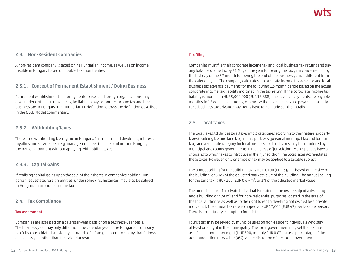# **2.3. Non-Resident Companies**

A non-resident company is taxed on its Hungarian income, as well as on income taxable in Hungary based on double taxation treaties.

# **2.3.1. Concept of Permanent Establishment / Doing Business**

Permanent establishments of foreign enterprises and foreign organisations may also, under certain circumstances, be liable to pay corporate income tax and local business tax in Hungary. The Hungarian PE definition follows the definition described in the OECD Model Commentary.

# **2.3.2. Withholding Taxes**

There is no withholding tax regime in Hungary. This means that dividends, interest, royalties and service fees (e.g. management fees) can be paid outside Hungary in the B2B environment without applying withholding taxes.

# **2.3.3. Capital Gains**

If realising capital gains upon the sale of their shares in companies holding Hungarian real estate, foreign entities, under some circumstances, may also be subject to Hungarian corporate income tax.

# **2.4. Tax Compliance**

#### **Tax assessment**

Companies are assessed on a calendar-year basis or on a business-year basis. The business year may only differ from the calendar year if the Hungarian company is a fully consolidated subsidiary or branch of a foreign parent company that follows a business year other than the calendar year.

### **Tax filing**

Companies must file their corporate income tax and local business tax returns and pay any balance of due tax by 31 May of the year following the tax year concerned, or by the last day of the 5th month following the end of the business year, if different from the calendar year. The company calculates its corporate income tax advance and local business tax advance payments for the following 12-month period based on the actual corporate income tax liability indicated in the tax return. If the corporate income tax liability is more than HUF 5,000,000 (EUR 13,888), the advance payments are payable monthly in 12 equal instalments, otherwise the tax advances are payable quarterly. Local business tax advance payments have to be made semi-annually.

# **2.5. Local Taxes**

The Local Taxes Act divides local taxes into 3 categories according to their nature: property taxes (building tax and land tax), municipal taxes (personal municipal tax and tourism tax), and a separate category for local business tax. Local taxes may be introduced by municipal and county governments in their areas of jurisdiction. Municipalities have a choice as to which taxes to introduce in their jurisdiction. The Local Taxes Act regulates these taxes. However, only one type of tax may be applied to a taxable subject.

The annual ceiling for the building tax is HUF  $1,100$  (EUR 3)/m<sup>2</sup>, based on the size of the building, or 3.6% of the adjusted market value of the building. The annual ceiling for the land tax is HUF 200 (EUR  $0.6$ )/m<sup>2</sup>, or 3% of the adjusted market value.

The municipal tax of a private individual is related to the ownership of a dwelling and a building or plot of land for non-residential purposes located in the area of the local authority, as well as to the right to rent a dwelling not owned by a private individual. The annual tax rate is capped at HUF 17,000 (EUR 47) per taxable person. There is no statutory exemption for this tax.

Tourist tax may be levied by municipalities on non-resident individuals who stay at least one night in the municipality. The local government may set the tax rate as a fixed amount per night (HUF 300, roughly EUR 0.83) or as a percentage of the accommodation rate/value (4%), at the discretion of the local government.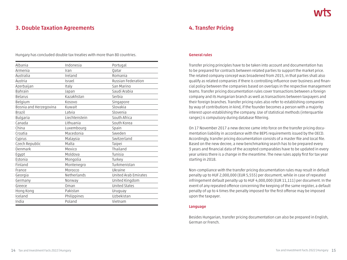# **3. Double Taxation Agreements**

Hungary has concluded double tax treaties with more than 80 countries.

| Albania                | Indonesia     | Portugal                    |
|------------------------|---------------|-----------------------------|
| Armenia                | Iran          | <b>Oatar</b>                |
| Australia              | Ireland       | Romania                     |
| Austria                | Israel        | Russian Federation          |
| Azerbaijan             | Italy         | San Marino                  |
| Bahrain                | Japan         | Saudi Arabia                |
| <b>Belarus</b>         | Kazakhstan    | Serbia                      |
| Belgium                | Kosovo        | Singapore                   |
| Bosnia and Herzegovina | Kuwait        | Slovakia                    |
| <b>Brazil</b>          | Latvia        | Slovenia                    |
| Bulgaria               | Liechtenstein | South Africa                |
| Canada                 | Lithuania     | South Korea                 |
| China                  | Luxembourg    | Spain                       |
| Croatia                | Macedonia     | Sweden                      |
| Cyprus                 | Malaysia      | Switzerland                 |
| Czech Republic         | Malta         | Taipei                      |
| Denmark                | Mexico        | Thailand                    |
| Egypt                  | Moldova       | Tunisia                     |
| Estonia                | Mongolia      | Turkey                      |
| Finland                | Montenegro    | Turkmenistan                |
| France                 | Morocco       | Ukraine                     |
| Georgia                | Netherlands   | <b>United Arab Emirates</b> |
| Germany                | Norway        | United Kingdom              |
| Greece                 | Oman          | <b>United States</b>        |
| Hong Kong              | Pakistan      | Uruguay                     |
| Iceland                | Philippines   | Uzbekistan                  |
| India                  | Poland        | Vietnam                     |

# **4. Transfer Pricing**

#### **General rules**

Transfer pricing principles have to be taken into account and documentation has to be prepared for contracts between related parties to support the market price. The related company concept was broadened from 2015, in that parties shall also qualify as related companies if there is controlling influence over business and financial policy between the companies based on overlaps in the respective management teams. Transfer pricing documentation rules cover transactions between a foreign company and its Hungarian branch as well as transactions between taxpayers and their foreign branches. Transfer pricing rules also refer to establishing companies by way of contributions in kind, if the founder becomes a person with a majority interest upon establishing the company. Use of statistical methods (interquartile ranges) is compulsory during database filtering.

On 17 November 2017 a new decree came into force on the transfer pricing documentation liability in accordance with the BEPS requirements issued by the OECD. Accordingly, transfer pricing documentation consists of a master file and local file. Based on the new decree, a new benchmarking search has to be prepared every 3 years and financial data of the accepted comparables have to be updated in every year unless there is a change in the meantime. The new rules apply first for tax year starting in 2018.

Non-compliance with the transfer pricing documentation rules may result in default penalty up to HUF 2,000,000 (EUR 5,555) per document, while in case of repeated infringement default penalty up to HUF 4,000,000 (EUR 11,111) per document. In the event of any repeated offence concerning the keeping of the same register, a default penalty of up to 4 times the penalty imposed for the first offense may be imposed upon the taxpayer.

#### **Language**

Besides Hungarian, transfer pricing documentation can also be prepared in English, German or French.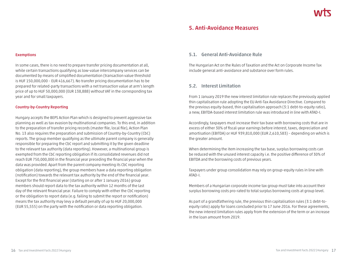# **5. Anti-Avoidance Measures**

#### **Exemptions**

In some cases, there is no need to prepare transfer pricing documentation at all, while certain transactions qualifying as low-value intercompany services can be documented by means of simplified documentation (transaction value threshold is HUF 150,000,000 – EUR 416,667). No transfer pricing documentation has to be prepared for related-party transactions with a net transaction value at arm's length price of up to HUF 50,000,000 (EUR 138,888) without VAT in the corresponding tax year and for small taxpayers.

#### **Country-by-Country Reporting**

Hungary accepts the BEPS Action Plan which is designed to prevent aggressive tax planning as well as tax evasion by multinational companies. To this end, in addition to the preparation of transfer pricing records (master file, local file), Action Plan No. 13 also requires the preparation and submission of Country-by-Country (CbC) reports. The group member qualifying as the ultimate parent company is generally responsible for preparing the CbC report and submitting it by the given deadline to the relevant tax authority (data reporting). However, a multinational group is exempted from the CbC reporting obligation if its consolidated revenues did not reach EUR 750,000,000 in the financial year preceding the financial year when the data was provided. Apart from the parent company meeting its CbC reporting obligation (data reporting), the group members have a data reporting obligation (notification) towards the relevant tax authority by the end of the financial year. Except for the first financial year (starting on or after 1 January 2016) group members should report data to the tax authority within 12 months of the last day of the relevant financial year. Failure to comply with either the CbC reporting or the obligation to report data (e.g. failing to submit the report or notification) means the tax authority may levy a default penalty of up to HUF 20,000,000 (EUR 55,555) on the party with the notification or data reporting obligation.

# **5.1. General Anti-Avoidance Rule**

The Hungarian Act on the Rules of Taxation and the Act on Corporate Income Tax include general anti-avoidance and substance over form rules.

### **5.2. Interest Limitation**

From 1 January 2019 the new interest limitation rule replaces the previously applied thin capitalisation rule adopting the EU Anti-Tax Avoidance Directive. Compared to the previous equity-based, thin capitalisation approach (3:1 debt-to-equity ratio), a new, EBITDA-based interest limitation rule was introduced in line with ATAD-I.

Accordingly, taxpayers must increase their tax base with borrowing costs that are in excess of either 30% of fiscal-year earnings before interest, taxes, depreciation and amortisation (EBITDA) or HUF 939,810,000 (EUR 2,610,583) – depending on which is the greater amount.

When determining the item increasing the tax base, surplus borrowing costs can be reduced with the unused interest capacity i.e. the positive difference of 30% of EBITDA and the borrowing costs of previous years.

Taxpayers under group consolidation may rely on group-equity rules in line with ATAD-I.

Members of a Hungarian corporate income tax group must take into account their surplus borrowing costs pro-rated to total surplus borrowing costs at group level.

As part of a grandfathering rule, the previous thin capitalisation rules (3:1 debt-toequity ratio) apply for loans concluded prior to 17 June 2016. For these agreements, the new interest limitation rules apply from the extension of the term or an increase in the loan amount from 2019.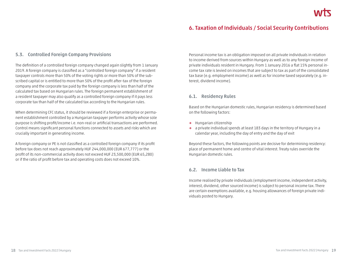# **6. Taxation of Individuals / Social Security Contributions**

# **5.3. Controlled Foreign Company Provisions**

The definition of a controlled foreign company changed again slightly from 1 January 2019. A foreign company is classified as a "controlled foreign company" if a resident taxpayer controls more than 50% of the voting rights or more than 50% of the subscribed capital or is entitled to more than 50% of the profit after-tax of the foreign company and the corporate tax paid by the foreign company is less than half of the calculated tax based on Hungarian rules. The foreign permanent establishment of a resident taxpayer may also qualify as a controlled foreign company if it pays less corporate tax than half of the calculated tax according to the Hungarian rules.

When determining CFC status, it should be reviewed if a foreign enterprise or permanent establishment controlled by a Hungarian taxpayer performs activity whose sole purpose is shifting profit/income i.e. non-real or artificial transactions are performed. Control means significant personal functions connected to assets and risks which are crucially important in generating income.

A foreign company or PE is not classified as a controlled foreign company if its profit before tax does not reach approximately HUF 244,000,000 (EUR 677,777) or the profit of its non-commercial activity does not exceed HUF 23,500,000 (EUR 65,280) or if the ratio of profit before tax and operating costs does not exceed 10%.

Personal income tax is an obligation imposed on all private individuals in relation to income derived from sources within Hungary as well as to any foreign income of private individuals resident in Hungary. From 1 January 2016 a flat 15% personal income tax rate is levied on incomes that are subject to tax as part of the consolidated tax base (e.g. employment income) as well as for income taxed separately (e.g. interest, dividend income).

# **6.1. Residency Rules**

Based on the Hungarian domestic rules, Hungarian residency is determined based on the following factors:

- **→** Hungarian citizenship
- **→** a private individual spends at least 183 days in the territory of Hungary in a calendar year, including the day of entry and the day of exit

Beyond these factors, the following points are decisive for determining residency: place of permanent home and centre of vital interest. Treaty rules override the Hungarian domestic rules.

# **6.2. Income Liable to Tax**

Income realised by private individuals (employment income, independent activity, interest, dividend, other sourced income) is subject to personal income tax. There are certain exemptions available, e.g. housing allowances of foreign private individuals posted to Hungary.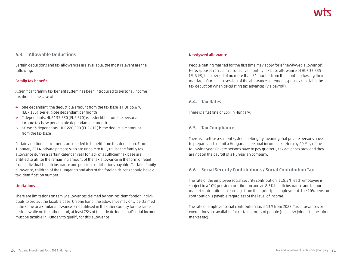# **6.3. Allowable Deductions**

Certain deductions and tax allowances are available, the most relevant are the following.

#### **Family tax benefit**

A significant family tax benefit system has been introduced to personal income taxation. In the case of:

- **→** one dependant, the deductible amount from the tax base is HUF 66,670 (EUR 185) per eligible dependant per month
- **→** 2 dependants, HUF 133,330 (EUR 370) is deductible from the personal income tax base per eligible dependant per month
- **→** at least 3 dependants, HUF 220,000 (EUR 611) is the deductible amount from the tax base

Certain additional documents are needed to benefit from this deduction. From 1 January 2014, private persons who are unable to fully utilise the family tax allowance during a certain calendar year for lack of a sufficient tax base are entitled to utilise the remaining amount of the tax allowance in the form of relief from individual health insurance and pension contributions payable. To claim family allowance, children of the Hungarian and also of the foreign citizens should have a tax identification number.

#### **Limitations**

There are limitations on family allowances claimed by non-resident foreign individuals to protect the taxable base. On one hand, the allowance may only be claimed if the same or a similar allowance is not utilised in the other country for the same period, while on the other hand, at least 75% of the private individual's total income must be taxable in Hungary to qualify for this allowance.

#### **Newlywed allowance**

People getting married for the first time may apply for a "newlywed allowance". Here, spouses can claim a collective monthly tax base allowance of HUF 33,335 (EUR 93) for a period of no more than 24 months from the month following their marriage. Once in possession of the allowance statement, spouses can claim the tax deduction when calculating tax advances (via payroll).

### **6.4. Tax Rates**

There is a flat rate of 15% in Hungary.

### **6.5. Tax Compliance**

There is a self-assessment system in Hungary meaning that private persons have to prepare and submit a Hungarian personal income tax return by 20 May of the following year. Private persons have to pay quarterly tax advances provided they are not on the payroll of a Hungarian company.

# **6.6. Social Security Contributions / Social Contribution Tax**

The rate of the employee social security contribution is 18.5%: each employee is subject to a 10% pension contribution and an 8.5% health insurance and labour market contribution on earnings from their principal employment. The 10% pension contribution is payable regardless of the level of income.

The rate of employer social contribution tax is 13% from 2022. Tax allowances or exemptions are available for certain groups of people (e.g. new joiners to the labour market etc).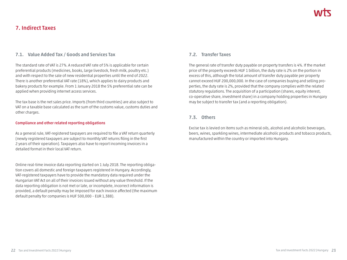# **7. Indirect Taxes**

# **7.1. Value Added Tax / Goods and Services Tax**

The standard rate of VAT is 27%. A reduced VAT rate of 5% is applicable for certain preferential products (medicines, books, large livestock, fresh milk, poultry etc.) and with respect to the sale of new residential properties until the end of 2022. There is another preferential VAT rate (18%), which applies to dairy products and bakery products for example. From 1 January 2018 the 5% preferential rate can be applied when providing internet access services.

The tax base is the net sales price. Imports (from third countries) are also subject to VAT on a taxable base calculated as the sum of the customs value, customs duties and other charges.

#### **Compliance and other related reporting obligations**

As a general rule, VAT-registered taxpayers are required to file a VAT return quarterly (newly registered taxpayers are subject to monthly VAT returns filing in the first 2 years of their operation). Taxpayers also have to report incoming invoices in a detailed format in their local VAT return.

Online real-time invoice data reporting started on 1 July 2018. The reporting obligation covers all domestic and foreign taxpayers registered in Hungary. Accordingly, VAT-registered taxpayers have to provide the mandatory data required under the Hungarian VAT Act on all of their invoices issued without any value threshold. If the data reporting obligation is not met or late, or incomplete, incorrect information is provided, a default penalty may be imposed for each invoice affected (the maximum default penalty for companies is HUF 500,000 – EUR 1,388).

# **7.2. Transfer Taxes**

The general rate of transfer duty payable on property transfers is 4%. If the market price of the property exceeds HUF 1 billion, the duty rate is 2% on the portion in excess of this, although the total amount of transfer duty payable per property cannot exceed HUF 200,000,000. In the case of companies buying and selling properties, the duty rate is 2%, provided that the company complies with the related statutory regulations. The acquisition of a participation (shares, equity interest, co-operative share, investment share) in a company holding properties in Hungary may be subject to transfer tax (and a reporting obligation).

# **7.3. Others**

Excise tax is levied on items such as mineral oils, alcohol and alcoholic beverages, beers, wines, sparkling wines, intermediate alcoholic products and tobacco products, manufactured within the country or imported into Hungary.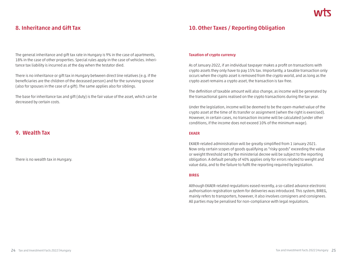# **8. Inheritance and Gift Tax**

The general inheritance and gift tax rate in Hungary is 9% in the case of apartments, 18% in the case of other properties. Special rules apply in the case of vehicles. Inheritance tax liability is incurred as at the day when the testator died.

There is no inheritance or gift tax in Hungary between direct line relatives (e.g. if the beneficiaries are the children of the deceased person) and for the surviving spouse (also for spouses in the case of a gift). The same applies also for siblings.

The base for inheritance tax and gift (duty) is the fair value of the asset, which can be decreased by certain costs.

# **9. Wealth Tax**

There is no wealth tax in Hungary.

# **10. Other Taxes / Reporting Obligation**

#### **Taxation of crypto currency**

As of January 2022, if an individual taxpayer makes a profit on transactions with crypto assets they only have to pay 15% tax. Importantly, a taxable transaction only occurs when the crypto asset is removed from the crypto world, and as long as the crypto asset remains a crypto asset, the transaction is tax-free.

The definition of taxable amount will also change, as income will be generated by the transactional gains realised on the crypto transactions during the tax year.

Under the legislation, income will be deemed to be the open-market value of the crypto asset at the time of its transfer or assignment (when the right is exercised). However, in certain cases, no transaction income will be calculated (under other conditions, if the income does not exceed 10% of the minimum wage).

#### **EKAER**

EKAER-related administration will be greatly simplified from 1 January 2021. Now only certain scopes of goods qualifying as "risky goods" exceeding the value or weight threshold set by the ministerial decree will be subject to the reporting obligation. A default penalty of 40% applies only for errors related to weight and value data, and to the failure to fulfil the reporting required by legislation.

#### **BIREG**

Although EKAER-related regulations eased recently, a so-called advance electronic authorisation registration system for deliveries was introduced. This system, BIREG, mainly refers to transporters, however, it also involves consigners and consignees. All parties may be penalised for non-compliance with legal regulations.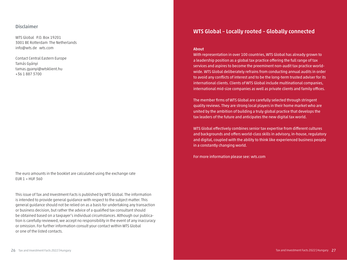### **Disclaimer**

WTS Global P.O. Box 19201 3001 BE Rotterdam The Netherlands info@wts.de wts.com

Contact Central Eastern Europe Tamás Gyányi tamas.gyanyi@wtsklient.hu +36 1 887 3700

The euro amounts in the booklet are calculated using the exchange rate EUR  $1$  = HUF 360

This issue of Tax and Investment Facts is published by WTS Global. The information is intended to provide general guidance with respect to the subject matter. This general guidance should not be relied on as a basis for undertaking any transaction or business decision, but rather the advice of a qualified tax consultant should be obtained based on a taxpayer's individual circumstances. Although our publication is carefully reviewed, we accept no responsibility in the event of any inaccuracy or omission. For further information consult your contact within WTS Global or one of the listed contacts.

# **WTS Global – Locally rooted – Globally connected**

#### **About**

With representation in over 100 countries, WTS Global has already grown to a leadership position as a global tax practice offering the full range of tax services and aspires to become the preeminent non-audit tax practice worldwide. WTS Global deliberately refrains from conducting annual audits in order to avoid any conflicts of interest and to be the long-term trusted adviser for its international clients. Clients of WTS Global include multinational companies, international mid-size companies as well as private clients and family offices.

The member firms of WTS Global are carefully selected through stringent quality reviews. They are strong local players in their home market who are united by the ambition of building a truly global practice that develops the tax leaders of the future and anticipates the new digital tax world.

WTS Global effectively combines senior tax expertise from different cultures and backgrounds and offers world-class skills in advisory, in-house, regulatory and digital, coupled with the ability to think like experienced business people in a constantly changing world.

For more information please see: wts.com